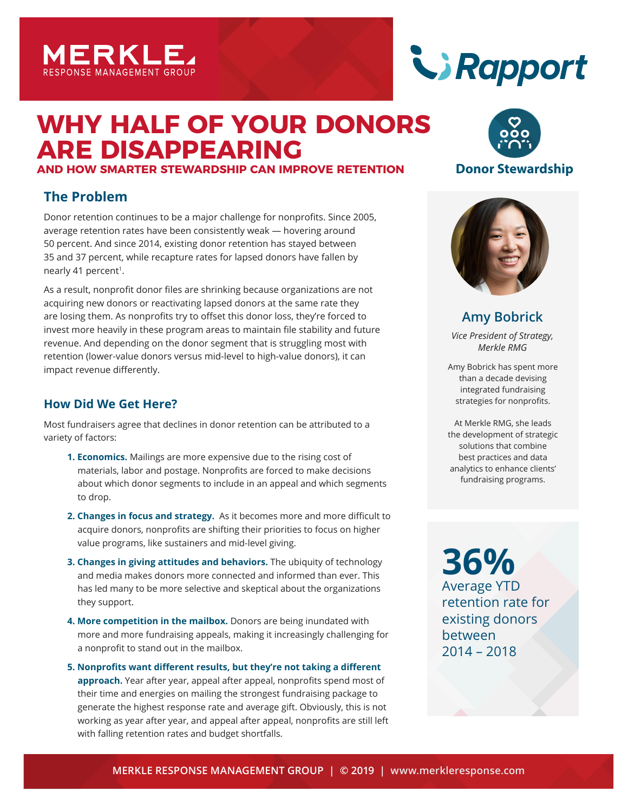

# **WHY HALF OF YOUR DONORS ARE DISAPPEARING**

**AND HOW SMARTER STEWARDSHIP CAN IMPROVE RETENTION**

# **The Problem**

Donor retention continues to be a major challenge for nonprofits. Since 2005, average retention rates have been consistently weak — hovering around 50 percent. And since 2014, existing donor retention has stayed between 35 and 37 percent, while recapture rates for lapsed donors have fallen by nearly 41 percent<sup>1</sup>.

As a result, nonprofit donor files are shrinking because organizations are not acquiring new donors or reactivating lapsed donors at the same rate they are losing them. As nonprofits try to offset this donor loss, they're forced to invest more heavily in these program areas to maintain file stability and future revenue. And depending on the donor segment that is struggling most with retention (lower-value donors versus mid-level to high-value donors), it can impact revenue differently.

## **How Did We Get Here?**

Most fundraisers agree that declines in donor retention can be attributed to a variety of factors:

- **1. Economics.** Mailings are more expensive due to the rising cost of materials, labor and postage. Nonprofits are forced to make decisions about which donor segments to include in an appeal and which segments to drop.
- **2. Changes in focus and strategy.** As it becomes more and more difficult to acquire donors, nonprofits are shifting their priorities to focus on higher value programs, like sustainers and mid-level giving.
- **3. Changes in giving attitudes and behaviors.** The ubiquity of technology and media makes donors more connected and informed than ever. This has led many to be more selective and skeptical about the organizations they support.
- **4. More competition in the mailbox.** Donors are being inundated with more and more fundraising appeals, making it increasingly challenging for a nonprofit to stand out in the mailbox.
- **5. Nonprofits want different results, but they're not taking a different approach.** Year after year, appeal after appeal, nonprofits spend most of their time and energies on mailing the strongest fundraising package to generate the highest response rate and average gift. Obviously, this is not working as year after year, and appeal after appeal, nonprofits are still left with falling retention rates and budget shortfalls.





### **Donor Stewardship**



**Amy Bobrick**

*Vice President of Strategy, Merkle RMG*

Amy Bobrick has spent more than a decade devising integrated fundraising strategies for nonprofits.

At Merkle RMG, she leads the development of strategic solutions that combine best practices and data analytics to enhance clients' fundraising programs.

**36%** Average YTD retention rate for existing donors between 2014 – 2018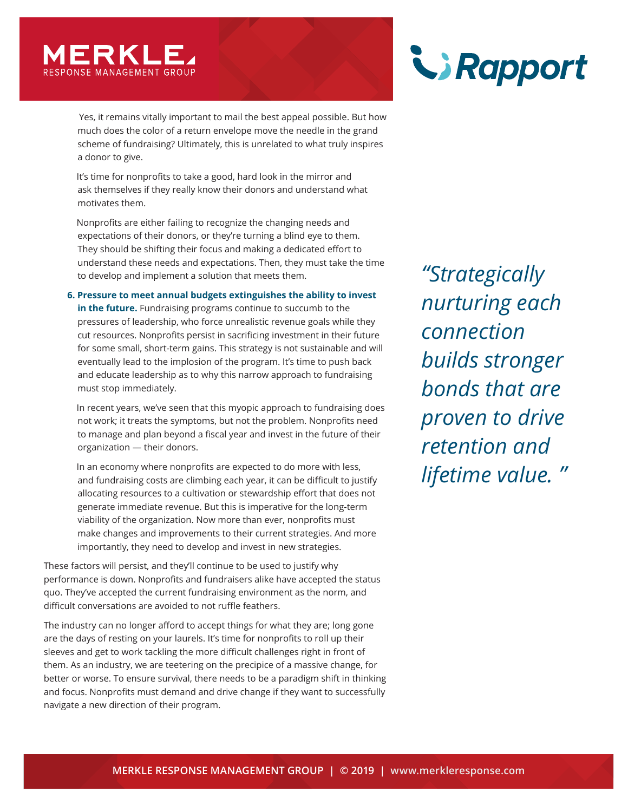

 Yes, it remains vitally important to mail the best appeal possible. But how much does the color of a return envelope move the needle in the grand scheme of fundraising? Ultimately, this is unrelated to what truly inspires a donor to give.

 It's time for nonprofits to take a good, hard look in the mirror and ask themselves if they really know their donors and understand what motivates them.

 Nonprofits are either failing to recognize the changing needs and expectations of their donors, or they're turning a blind eye to them. They should be shifting their focus and making a dedicated effort to understand these needs and expectations. Then, they must take the time to develop and implement a solution that meets them.

**6. Pressure to meet annual budgets extinguishes the ability to invest in the future.** Fundraising programs continue to succumb to the pressures of leadership, who force unrealistic revenue goals while they cut resources. Nonprofits persist in sacrificing investment in their future for some small, short-term gains. This strategy is not sustainable and will eventually lead to the implosion of the program. It's time to push back and educate leadership as to why this narrow approach to fundraising must stop immediately.

 In recent years, we've seen that this myopic approach to fundraising does not work; it treats the symptoms, but not the problem. Nonprofits need to manage and plan beyond a fiscal year and invest in the future of their organization — their donors.

 In an economy where nonprofits are expected to do more with less, and fundraising costs are climbing each year, it can be difficult to justify allocating resources to a cultivation or stewardship effort that does not generate immediate revenue. But this is imperative for the long-term viability of the organization. Now more than ever, nonprofits must make changes and improvements to their current strategies. And more importantly, they need to develop and invest in new strategies.

These factors will persist, and they'll continue to be used to justify why performance is down. Nonprofits and fundraisers alike have accepted the status quo. They've accepted the current fundraising environment as the norm, and difficult conversations are avoided to not ruffle feathers.

The industry can no longer afford to accept things for what they are; long gone are the days of resting on your laurels. It's time for nonprofits to roll up their sleeves and get to work tackling the more difficult challenges right in front of them. As an industry, we are teetering on the precipice of a massive change, for better or worse. To ensure survival, there needs to be a paradigm shift in thinking and focus. Nonprofits must demand and drive change if they want to successfully navigate a new direction of their program.



*"Strategically nurturing each connection builds stronger bonds that are proven to drive retention and lifetime value. "*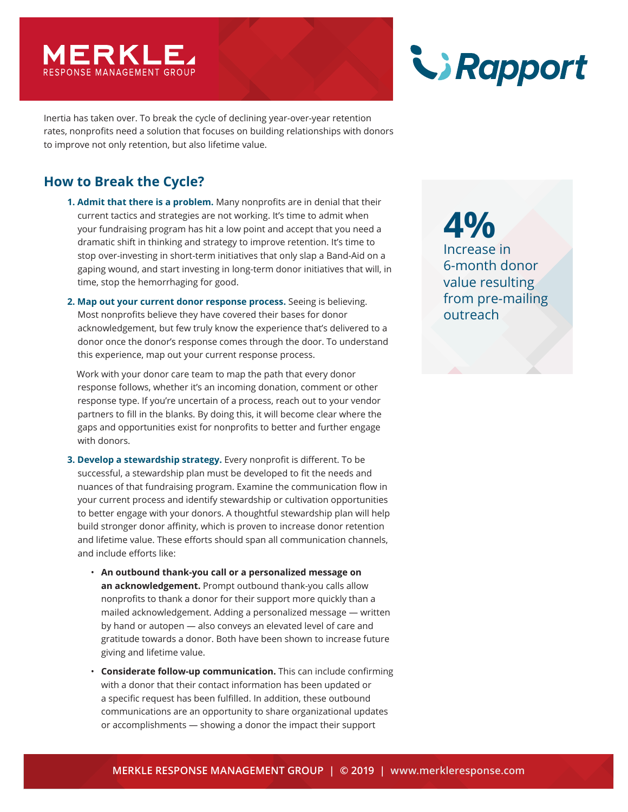

Inertia has taken over. To break the cycle of declining year-over-year retention rates, nonprofits need a solution that focuses on building relationships with donors to improve not only retention, but also lifetime value.

# **How to Break the Cycle?**

- **1. Admit that there is a problem.** Many nonprofits are in denial that their current tactics and strategies are not working. It's time to admit when your fundraising program has hit a low point and accept that you need a dramatic shift in thinking and strategy to improve retention. It's time to stop over-investing in short-term initiatives that only slap a Band-Aid on a gaping wound, and start investing in long-term donor initiatives that will, in time, stop the hemorrhaging for good.
- **2. Map out your current donor response process.** Seeing is believing. Most nonprofits believe they have covered their bases for donor acknowledgement, but few truly know the experience that's delivered to a donor once the donor's response comes through the door. To understand this experience, map out your current response process.

 Work with your donor care team to map the path that every donor response follows, whether it's an incoming donation, comment or other response type. If you're uncertain of a process, reach out to your vendor partners to fill in the blanks. By doing this, it will become clear where the gaps and opportunities exist for nonprofits to better and further engage with donors.

- **3. Develop a stewardship strategy.** Every nonprofit is different. To be successful, a stewardship plan must be developed to fit the needs and nuances of that fundraising program. Examine the communication flow in your current process and identify stewardship or cultivation opportunities to better engage with your donors. A thoughtful stewardship plan will help build stronger donor affinity, which is proven to increase donor retention and lifetime value. These efforts should span all communication channels, and include efforts like:
	- **An outbound thank-you call or a personalized message on an acknowledgement.** Prompt outbound thank-you calls allow nonprofits to thank a donor for their support more quickly than a mailed acknowledgement. Adding a personalized message — written by hand or autopen — also conveys an elevated level of care and gratitude towards a donor. Both have been shown to increase future giving and lifetime value.
	- **Considerate follow-up communication.** This can include confirming with a donor that their contact information has been updated or a specific request has been fulfilled. In addition, these outbound communications are an opportunity to share organizational updates or accomplishments — showing a donor the impact their support

Rapport

**4%** Increase in 6-month donor value resulting from pre-mailing outreach